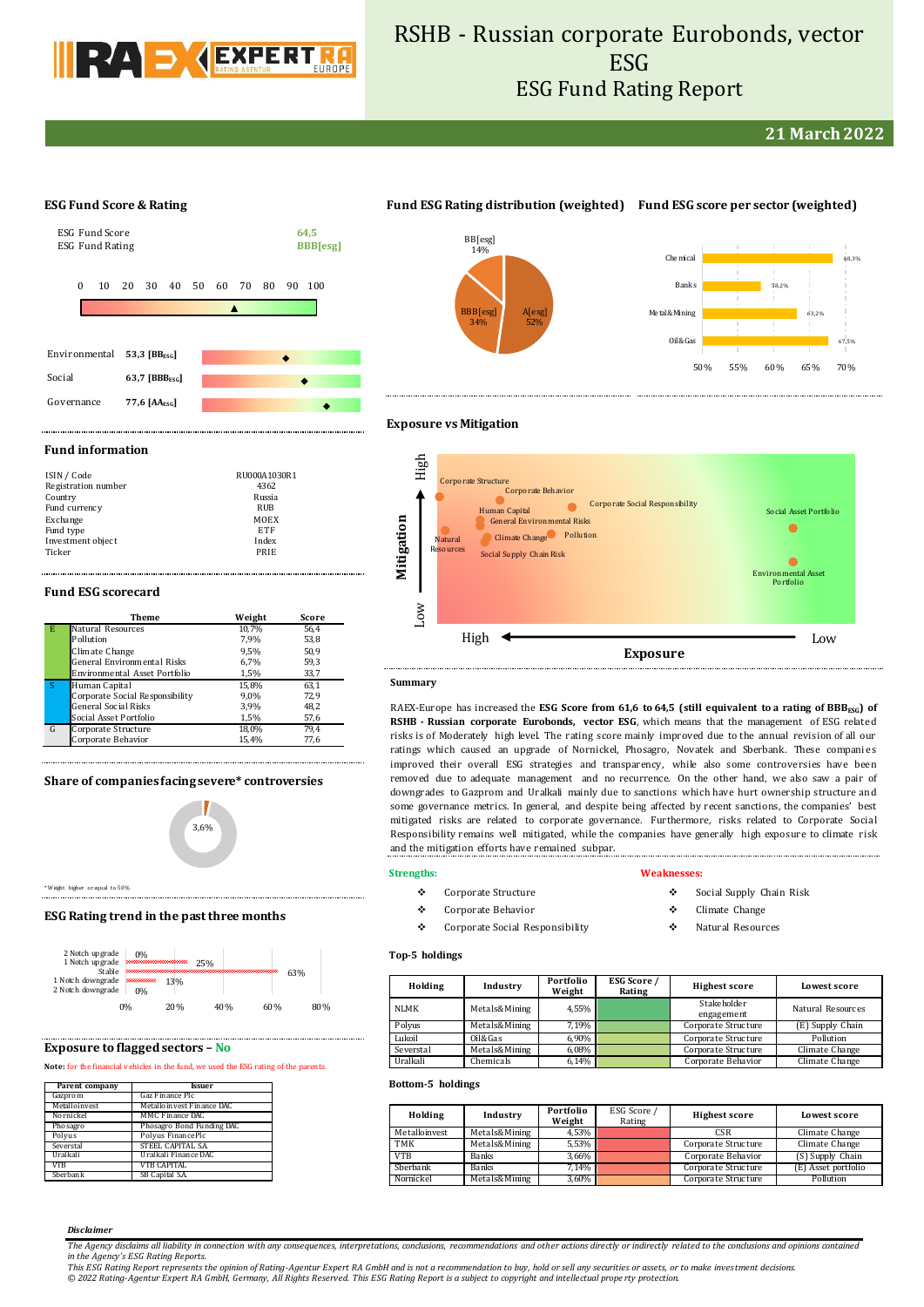

# RSHB - Russian corporate Eurobonds, vector **ESG** ESG Fund Rating Report

**21 March 2022**

### **ESG Fund Score & Rating**



# **Fund ESG Rating distribution (weighted) Fund ESG score per sector (weighted)**



Climate Change Pollution General Environmental Risks

 $\bullet$ 

Corporate Behavior

Social Supply Chain Risk

Human Capital



ental Asset Portfolio

Social Asset Portfolio

# **Exposure vs Mitigation**

Corporate Structure

Natural Resources

### **Fund information**

| ISIN / Code<br>Registration number | RU000A1030R1<br>4362 |
|------------------------------------|----------------------|
| Country                            | Russia               |
| Fund currency                      | RUB                  |
| Exchange                           | MOEX                 |
| Fund type                          | ETF                  |
| Investment object                  | Index                |
| Ticker                             | PRIE                 |

### **Fund ESG scorecard**

|    | Theme                              | Weight | Score |
|----|------------------------------------|--------|-------|
| E. | Natural Resources                  | 10.7%  | 56.4  |
|    | Pollution                          | 7.9%   | 53,8  |
|    | Climate Change                     | 9.5%   | 50,9  |
|    | <b>General Environmental Risks</b> | 6.7%   | 59,3  |
|    | Environmental Asset Portfolio      | 1,5%   | 33,7  |
| S  | Human Capital                      | 15.8%  | 63,1  |
|    | Corporate Social Responsibility    | 9,0%   | 72,9  |
|    | <b>General Social Risks</b>        | 3,9%   | 48,2  |
|    | Social Asset Portfolio             | 1,5%   | 57,6  |
| G  | Corporate Structure                | 18,0%  | 79.4  |
|    | Corporate Behavior                 | 15,4%  | 77,6  |

### **Share of companies facing severe\* controversies**



\* Weight higher or equal to 50%

### **ESG Rating trend in the past three months**



# **Exposure to flagged sectors – No**

### Note: for the financial vehicles in the fund, we used the ESG rating of the parents.

| Parent company | <b>Issuer</b>             |
|----------------|---------------------------|
| Gazprom        | Gaz Finance Plc           |
| Metalloinvest  | Metalloinvest Finance DAC |
| Nornickel      | MMC Finance DAC           |
| Phosagro       | Phosagro Bond Funding DAC |
| Polvus         | Polyus Finance Plc        |
| Severstal      | STEEL CAPITAL SA.         |
| Uralkali       | Uralkali Finance DAC      |
| VTB            | <b>VTB CAPITAL</b>        |
| Sberbank       | SB Capital S.A.           |

# **Strengths:**

**Summary**

Low

**Mitigation**  $\sum_{\mathbf{E} \in \mathcal{E}}$ 

High

- Corporate Structure
- Corporate Behavior
- Corporate Social Responsibility

and the mitigation efforts have remained subpar.

### **Weaknesses:**

RAEX-Europe has increased the **ESG Score from 61,6 to 64,5 (still equivalent to a rating of BBBESG) of RSHB - Russian corporate Eurobonds, vector ESG**, which means that the management of ESG related risks is of Moderately high level. The rating score mainly improved due to the annual revision of all our ratings which caused an upgrade of Nornickel, Phosagro, Novatek and Sberbank. These compani es improved their overall ESG strategies and transparency, while also some controversies have been removed due to adequate management and no recurrence. On the other hand, we also saw a pair of downgrades to Gazprom and Uralkali mainly due to sanctions which have hurt ownership structure and some governance metrics. In general, and despite being affected by recent sanctions, the companies' best mitigated risks are related to corporate governance. Furthermore, risks related to Corporate Social Responsibility remains well mitigated, while the companies have generally high exposure to climate risk

High  $\blacklozenge$  Low **Exposure**

Corporate Social Responsibility

- Social Supply Chain Risk
- Climate Change
- Natural Resources

### **Top-5 holdings**

| Holding   | Industry      | Portfolio<br>Weight | ESG Score /<br>Rating | <b>Highest score</b>      | Lowest score      |  |  |
|-----------|---------------|---------------------|-----------------------|---------------------------|-------------------|--|--|
| NLMK      | Metals&Mining | 4.55%               |                       | Stakeholder<br>engagement | Natural Resources |  |  |
| Polyus    | Metals&Mining | 7.19%               |                       | Corporate Structure       | (E) Supply Chain  |  |  |
| Lukoil    | Oil&Gas       | 6.90%               |                       | Corporate Structure       | Pollution         |  |  |
| Severstal | Metals&Mining | 6.08%               |                       | Corporate Structure       | Climate Change    |  |  |
| Uralkali  | Chemicals     | 6,14%               |                       | Corporate Behavior        | Climate Change    |  |  |

### **Bottom-5 holdings**

| Holding       | Industry      | Portfolio<br>Weight | ESG Score /<br>Rating | <b>Highest score</b> | Lowest score        |  |  |
|---------------|---------------|---------------------|-----------------------|----------------------|---------------------|--|--|
| Metalloinvest | Metals&Mining | 4,53%               |                       | CSR                  | Climate Change      |  |  |
| <b>TMK</b>    | Metals&Mining | 5,53%               |                       | Corporate Structure  | Climate Change      |  |  |
| <b>VTB</b>    | <b>Banks</b>  | 3,66%               |                       | Corporate Behavior   | (S) Supply Chain    |  |  |
| Sberbank      | <b>Banks</b>  | 7.14%               |                       | Corporate Structure  | (E) Asset portfolio |  |  |
| Nornickel     | Metals&Mining | 3,60%               |                       | Corporate Structure  | Pollution           |  |  |

#### *Disclaimer*

*The Agency disclaims all liability in connection with any consequences, interpretations, conclusions, recommendations and other actions directly or indirectly related to the conclusions and opinions contained in the Agency's ESG Rating Reports.*

*This ESG Rating Report represents the opinion of Rating-Agentur Expert RA GmbH and is not a recommendation to buy, hold or sell any securities or assets, or to make investment decisions. © 2022 Rating-Agentur Expert RA GmbH, Germany, All Rights Reserved. This ESG Rating Report is a subject to copyright and intellectual prope rty protection.*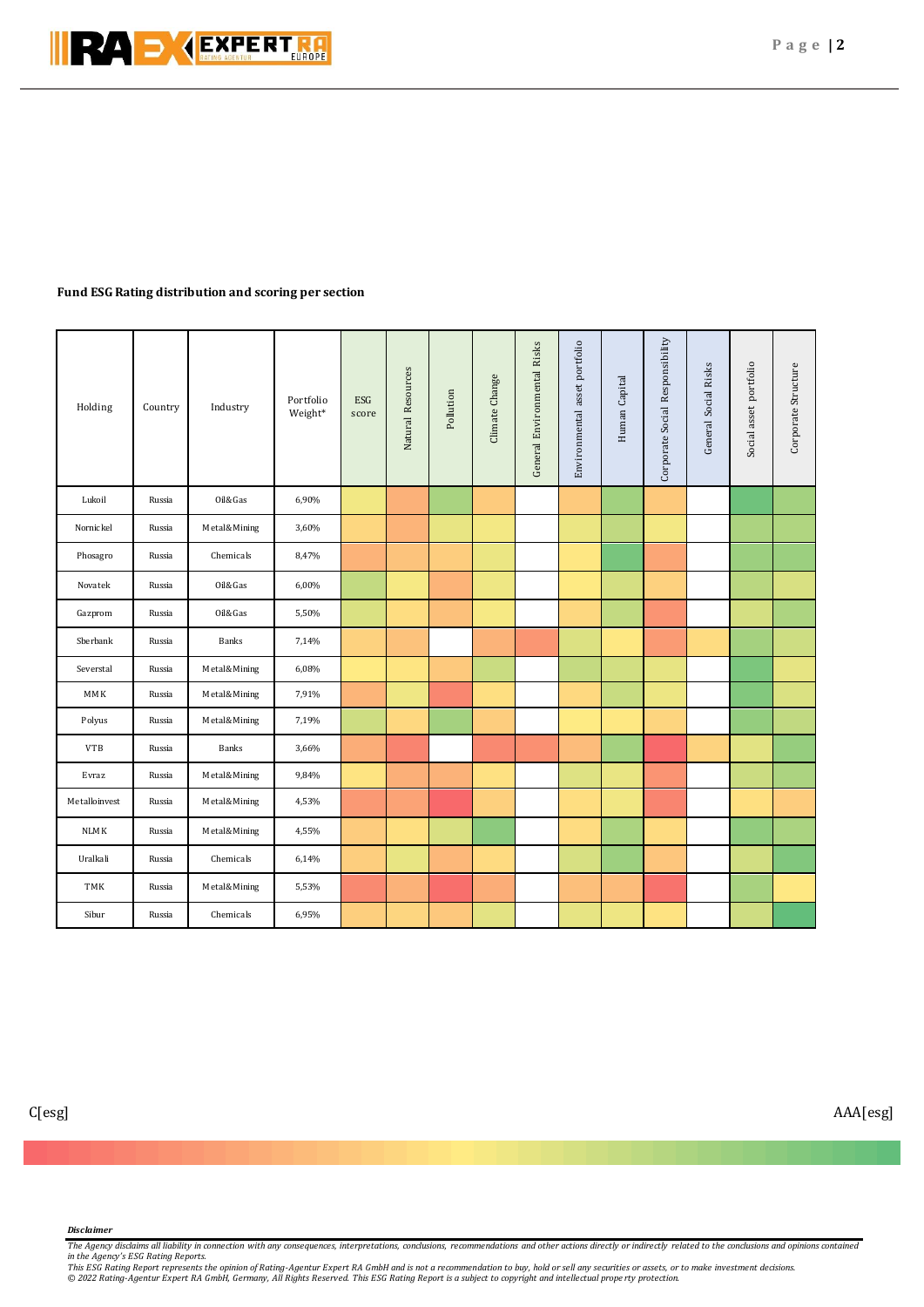

# **Fund ESG Rating distribution and scoring per section**

| Holding       | Country | Industry     | Portfolio<br>Weight* | ESG<br>score | Natural Resources | Pollution | Climate Change | General Environmental Risks | asset portfolio<br>Environmental | Human Capital | Corporate Social Responsibility | General Social Risks | Social asset portfolio | Corporate Structure |
|---------------|---------|--------------|----------------------|--------------|-------------------|-----------|----------------|-----------------------------|----------------------------------|---------------|---------------------------------|----------------------|------------------------|---------------------|
| Lukoil        | Russia  | Oil&Gas      | 6,90%                |              |                   |           |                |                             |                                  |               |                                 |                      |                        |                     |
| Nornickel     | Russia  | Metal&Mining | 3,60%                |              |                   |           |                |                             |                                  |               |                                 |                      |                        |                     |
| Phosagro      | Russia  | Chemicals    | 8,47%                |              |                   |           |                |                             |                                  |               |                                 |                      |                        |                     |
| Novatek       | Russia  | Oil&Gas      | 6,00%                |              |                   |           |                |                             |                                  |               |                                 |                      |                        |                     |
| Gazprom       | Russia  | Oil&Gas      | 5,50%                |              |                   |           |                |                             |                                  |               |                                 |                      |                        |                     |
| Sberbank      | Russia  | <b>Banks</b> | 7,14%                |              |                   |           |                |                             |                                  |               |                                 |                      |                        |                     |
| Severstal     | Russia  | Metal&Mining | 6,08%                |              |                   |           |                |                             |                                  |               |                                 |                      |                        |                     |
| MMK           | Russia  | Metal&Mining | 7,91%                |              |                   |           |                |                             |                                  |               |                                 |                      |                        |                     |
| Polyus        | Russia  | Metal&Mining | 7,19%                |              |                   |           |                |                             |                                  |               |                                 |                      |                        |                     |
| <b>VTB</b>    | Russia  | Banks        | 3,66%                |              |                   |           |                |                             |                                  |               |                                 |                      |                        |                     |
| Evraz         | Russia  | Metal&Mining | 9,84%                |              |                   |           |                |                             |                                  |               |                                 |                      |                        |                     |
| Metalloinvest | Russia  | Metal&Mining | 4,53%                |              |                   |           |                |                             |                                  |               |                                 |                      |                        |                     |
| <b>NLMK</b>   | Russia  | Metal&Mining | 4,55%                |              |                   |           |                |                             |                                  |               |                                 |                      |                        |                     |
| Uralkali      | Russia  | Chemicals    | 6,14%                |              |                   |           |                |                             |                                  |               |                                 |                      |                        |                     |
| TMK           | Russia  | Metal&Mining | 5,53%                |              |                   |           |                |                             |                                  |               |                                 |                      |                        |                     |
| Sibur         | Russia  | Chemicals    | 6,95%                |              |                   |           |                |                             |                                  |               |                                 |                      |                        |                     |

## *Disclaimer*

The Agency disclaims all liability in connection with any consequences, interpretations, conclusions, recommendations and other actions directly or indirectly related to the conclusions and opinions contained<br>This ESC Rati